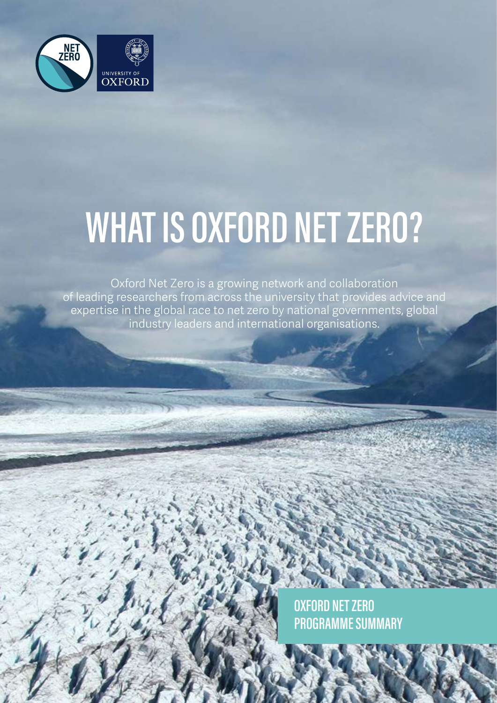

# **WHAT IS OXFORD NET ZERO?**

Oxford Net Zero is a growing network and collaboration of leading researchers from across the university that provides advice and expertise in the global race to net zero by national governments, global industry leaders and international organisations.

1

**OXFORD NET ZERO PROGRAMME SUMMARY**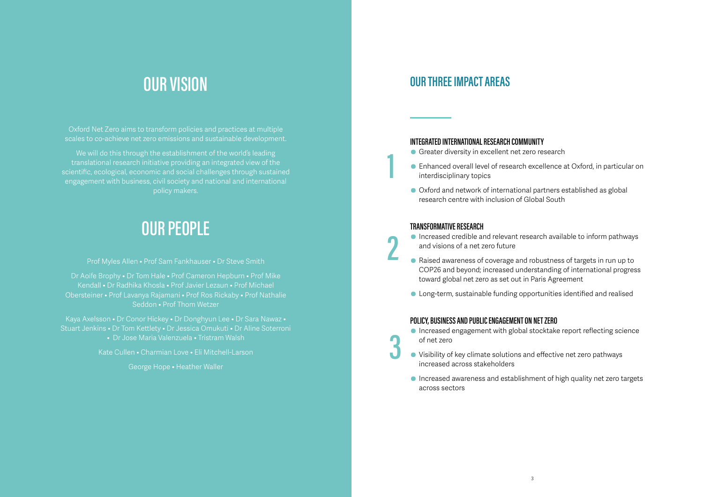### **OUR THREE IMPACT AREAS**

#### **INTEGRATED INTERNATIONAL RESEARCH COMMUNITY**

• Enhanced overall level of research excellence at Oxford, in particular on

- **Greater diversity in excellent net zero research**
- interdisciplinary topics
- Oxford and network of international partners established as global research centre with inclusion of Global South

#### **TRANSFORMATIVE RESEARCH**

- Increased credible and relevant research available to inform pathways and visions of a net zero future
- Raised awareness of coverage and robustness of targets in run up to COP26 and beyond; increased understanding of international progress toward global net zero as set out in Paris Agreement
- Long-term, sustainable funding opportunities identified and realised

We will do this through the establishment of the world's leading translational research initiative providing an integrated view of the scientific, ecological, economic and social challenges through sustained engagement with business, civil society and national and international policy makers.

#### **POLICY, BUSINESS AND PUBLIC ENGAGEMENT ON NET ZERO**

- Increased engagement with global stocktake report reflecting science of net zero
- Visibility of key climate solutions and effective net zero pathways increased across stakeholders
- Increased awareness and establishment of high quality net zero targets across sectors

### **OUR VISION**

Oxford Net Zero aims to transform policies and practices at multiple scales to co-achieve net zero emissions and sustainable development.

## **OUR PEOPLE**

Prof Myles Allen • Prof Sam Fankhauser • Dr Steve Smith

Dr Aoife Brophy • Dr Tom Hale • Prof Cameron Hepburn • Prof Mike Kendall • Dr Radhika Khosla • Prof Javier Lezaun • Prof Michael Obersteiner • Prof Lavanya Rajamani • Prof Ros Rickaby • Prof Nathalie Seddon • Prof Thom Wetzer

Kaya Axelsson • Dr Conor Hickey • Dr Donghyun Lee • Dr Sara Nawaz • Stuart Jenkins • Dr Tom Kettlety • Dr Jessica Omukuti • Dr Aline Soterroni • Dr Jose Maria Valenzuela • Tristram Walsh

Kate Cullen • Charmian Love • Eli Mitchell-Larson

George Hope • Heather Waller

**1**

**2**

**3**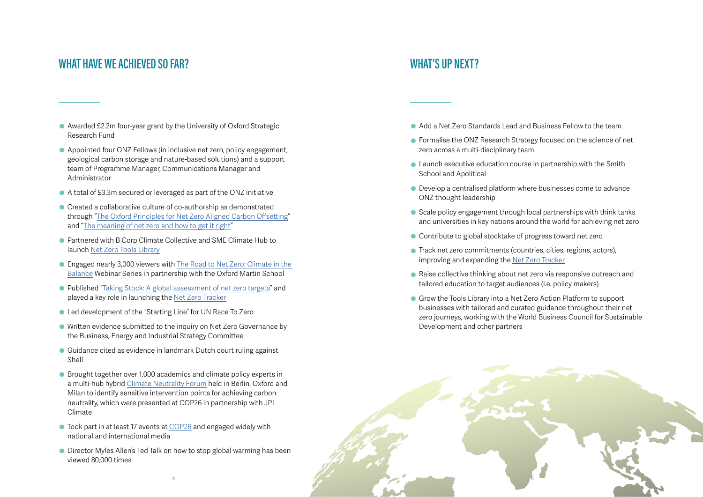

- Awarded £2.2m four-year grant by the University of Oxford Strategic Research Fund
- Appointed four ONZ Fellows (in inclusive net zero, policy engagement, geological carbon storage and nature-based solutions) and a support team of Programme Manager, Communications Manager and Administrator
- A total of £3.3m secured or leveraged as part of the ONZ initiative
- Created a collaborative culture of co-authorship as demonstrated through "[The Oxford Principles for Net Zero Aligned Carbon Offsetting"](https://www.smithschool.ox.ac.uk/publications/reports/Oxford-Offsetting-Principles-2020.pdf) and ["The meaning of net zero and how to get it right](https://www.nature.com/articles/s41558-021-01245-w)"
- Partnered with B Corp Climate Collective and SME Climate Hub to launch [Net Zero Tools Library](https://netzeroclimate.org/tools-library/)
- Engaged nearly 3,000 viewers with [The Road to Net Zero: Climate in the](https://www.oxfordmartin.ox.ac.uk/event-series/oxford-net-zero-climate-in-the-balance/)  [Balance](https://www.oxfordmartin.ox.ac.uk/event-series/oxford-net-zero-climate-in-the-balance/) Webinar Series in partnership with the Oxford Martin School
- Published "[Taking Stock: A global assessment of net zero targets](https://ca1-eci.edcdn.com/reports/ECIU-Oxford_Taking_Stock.pdf?mtime=20210323005817&focal=none)" and played a key role in launching the [Net Zero Tracker](https://zerotracker.net/)
- Led development of the "Starting Line" for UN Race To Zero
- Written evidence submitted to the inquiry on Net Zero Governance by the Business, Energy and Industrial Strategy Committee
- Guidance cited as evidence in landmark Dutch court ruling against Shell
- Brought together over 1,000 academics and climate policy experts in a multi-hub hybrid [Climate Neutrality Forum](https://netzeroclimate.org/climateneutralityforum) held in Berlin, Oxford and Milan to identify sensitive intervention points for achieving carbon neutrality, which were presented at COP26 in partnership with JPI Climate
- Took part in at least 17 events at [COP26](https://netzeroclimate.org/cop26/) and engaged widely with national and international media
- Director Myles Allen's Ted Talk on how to stop global warming has been viewed 80,000 times

#### **WHAT'S UP NEXT?**

- Add a Net Zero Standards Lead and Business Fellow to the team
- **•** Formalise the ONZ Research Strategy focused on the science of net zero across a multi-disciplinary team
- Launch executive education course in partnership with the Smith School and Apolitical
- Develop a centralised platform where businesses come to advance ONZ thought leadership
- Scale policy engagement through local partnerships with think tanks and universities in key nations around the world for achieving net zero
- Contribute to global stocktake of progress toward net zero
- Track net zero commitments (countries, cities, regions, actors), improving and expanding the [Net Zero Tracker](https://zerotracker.net/)
- Raise collective thinking about net zero via responsive outreach and tailored education to target audiences (i.e. policy makers)
- **Grow the Tools Library into a Net Zero Action Platform to support** businesses with tailored and curated guidance throughout their net zero journeys, working with the World Business Council for Sustainable Development and other partners

#### **WHAT HAVE WE ACHIEVED SO FAR?**